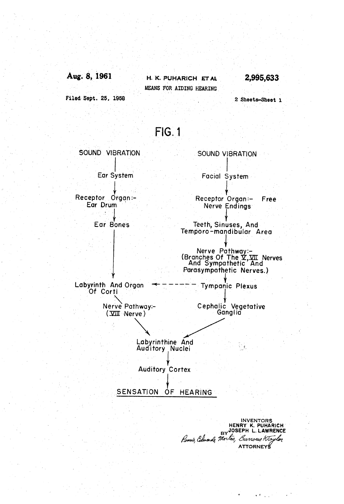Aug. 8, 1961

filed Sept. 25, 1958

H. K. PUHARICH ET AL MEANS FOR AIDING HEARING

2,995,633

2 Sheets-Sheet 1

## **FIG. 1**

SOUND VIBRATION

Ear System

Receptor Organ:-

SOUND VIBRATION

Facial System

Receptor Organ:- Free Ear Drum Nerve Engings

Ear Bones Teeth, Sinuses, And Temporo-mandibular Area

Nerve Pothwdy:- (Branches Of The Y.WII Nerves And Sympathetic And Parasympathetic Nerves.)

Labyrinth And Organ ------- Tympanic Plexus<br>Of Corti

Of cort Nerve Pathway:- (VIII Nerve)

Cephalic Vegetative Gang lid

ે કે,

Labyrinthine And Auditory Nuclei

Auditory Cortex

## SENSATION OF HEARING

INVENTORS<br>HENRY K. PUHARICH BY JOSEPH L. LAWRENCE famis Calwords, Morton, *Barwees Toylor*<br>ATTORNEYS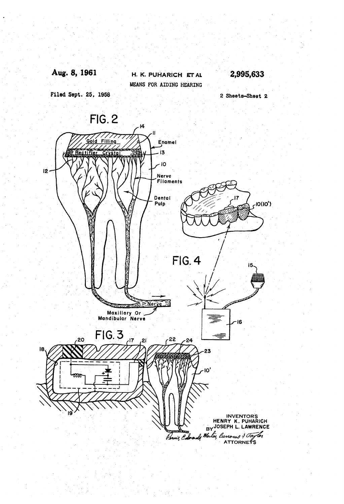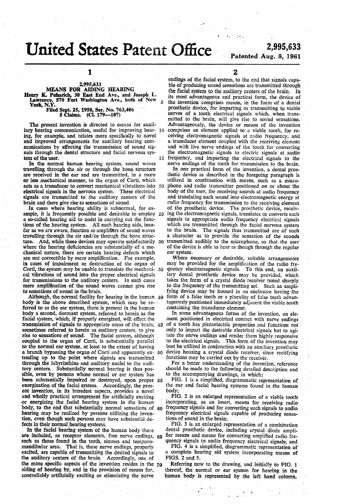# United States Patent Office 2,995,633

 $\mathbf{0}$  :

1

MEANS FOR AIDING HEARING<br>Henry K. Puharich, 30 East End Ave., and Joseph L.<br>Lawrence, 570 Fort Washington Ave., both of New Lawrence, 570 York, N.Y. . . - - - - - - Filed Sept. 25, 1958, Ser. No. 763,406 S Claims. (C. 179-107)

The present invention is directed to means for auxil iary hearing communication, useful for improving hear ing, for example, and relates more specifically to novel and improved arrangements for auxiliary hearing communications by effecting the transmission of sound sigmals through the dental structure and facial nervous system of the user.  $15$ 

In the normal human hearing system, sound waves travelling through the air or through the bone structure are received in the ear and are transmitted, in a more or less mechanical manner, to the organ of Corti, which acts as a transducer to convert mechanical vibrations into electrical signals in the nervous system. These electrical signals are transmitted to the auditory centers of the brain and there give rise to sensations of sound.

In cases where hearing ability is subnormal, for ex ample, it is frequently possible and desirable to employ 25 a so-called hearing aid to assist in carrying out the functions of the hearing system. All such hearing aids, insofar as we are aware, function as amplifiers of sound waves travelling through the air and/or through the bone strucwhere the hearing deficiencies are substantially of a mechanical nature, there are certain hearing defects which are not correctible by mere amplification. For example, in cases of impairment or destruction of the organ of Corti, the system may be unable to translate the mechani-35 cal vibrations of sound into the proper electrical signals for transmissions to the auditory centers. In such cases mere amplification of the sound waves cannot give rise to sensations of sound in the brain. ture. And, while these devices may operate satisfactorily 30

to sensations of sound in the brain. Although, the normal facility for hearing in the human 40 body is the above described system, which may be re ferred to as the ear system, there is present in the human body a second, dormant system, referred to herein as the facial system, which, if properly energized, will effect the sometimes referred to herein as auditory centers, to give<br>rise to sensations of sound. The facial system, although<br>coupled to the organ of Corti, is substantially parallel to the normal ear system, at least to the extent of having a branch bypassing the organ of Corti and apparently ex tending up to the point where signals are transmitted through the labyrinthine and auditory nuclei to the auditory centers. Substantially normal hearing is thus postransmission of signals to appropriate areas of the brain, 45 of a tooth has piezoelectric properties and functions not sible, even by persons whose normal or ear system has been substantially impaired or destroyed, upon proper energization of the facial system. Accordingly, the present invention, in its broadest aspects, provides a novel been substantially impaired or destroyed, upon proper 55 and wholly practical arrangement for artificially exciting or energizing the facial hearing system in the human hearing may be realized by persons utilizing the invention, even though such persons may have substantial defects in their normal hearing systems. body, to the end that substantially normal sensations of 60 frequency signals and for converting such signals to audio<br>hearing may be realized by persons utilizing the inven-<br>frequency electrical signals capable of produci

In the facial hearing system of the human body there such as those found in the teeth, sinuses and temporo-<br>mandibular area. That is, these nerve endings, properly<br>excited, are capable of transmitting the desired signals to the auditory centers of the brain. Accordingly, one of the more specific aspects of the invention resides in the  $70$ aiding of hearing by, and in the provision of means for, controllably artificially exciting or stimulating the nerve are included, as receptor elements, free nerve endings, 65

es : s

2<br>endings of the facial system, to the end that signals capable of producing sound sensations are transmitted through<br>the facial system to the auditory centers of the brain. In<br>its most advantageous and practical form, the device of<br>the invention comprises means, in the form of a d 5 the invention comprises means, in the form of a dental prosthetic device, for imparting or transmitting to viable nerves of a tooth electrical signals which, when trans mitted to the brain, will give rise to sound sensations. Advantageously, the device or means of the invention ceiving electromagnetic signals at radio frequency, and<br>a transducer element coupled with the receiving element a transducer element coupled with the receiving element and with live nerve endings of the tooth for converting the electromagnetic signals to electric signals at audio frequency, and imparting the electrical signals to the nerve endings of the tooth for transmission to the brain.

In one practical form of the invention, a dental prosthetic device as described in the foregoing paragraph is utilized in combination with means, such as a microphone and radio transmitter positioned on or about the body of the user, for receiving sounds at audio frequency and translating such sound into electromagnetic energy at radio frequency for transmission to the receiving element of the prosthetic device. The prosthetic device, receiving the electromagnetic signals, translates or converts such signals to appropriate audio frequency electrical signals which are transmitted through the facial nervous a character as to provide the sensation of the sounds transmitted audibly to the microphone, so that the user of the device is able to hear as though through the regular

Where necessary or desirable, suitable arrangements may be provided for the amplification of the radio frequency electromagnetic signals. To this end, an auxil-Figure dental prosthetic device may be provided, which takes the form of a crystal diode receiver tuned sharply to the frequency of the transmitting set. Such an amplifying device may be housed in an enclosure having the form of a false tooth or a plurality of false teeth advantageously positioned immediately adjacent the viable tooth containing the transducer element.

In some advantageous forms of the invention, an element positioned in electrical contact with nerve endings only to impart the desirable electrical signals but to agitate the enrve endings and render them highly responsive to the electrical signals. This form of the invention may best be utilized in conjunction with an auxiliary

For a better understanding of the invention, reference should be made to the following detailed description and to the accompanying drawings, in which:

the ear and facial hearing systems found in the human FIG. 1 is a simplified, diagrammatic representation of body;<br>FIG. 2 is an enlarged representation of a viable tooth

incorporating, as an insert, means for receiving radio<br>frequency signals and for converting such signals to audio tions of sound in the brain;

FIG. 3 is an enlarged representation of a combination fier means and means for converting amplified radio frequency signals to audio frequency electrical signals; and

FIG. 4 is a simplified, diagrammatic representation of a complete hearing aid system incorporating means of FIGS. 2 and 3.

Referring now to the drawing, and initially to FIG. 1 thereof, the normal or ear system for hearing in the human body is represented by the left hand column.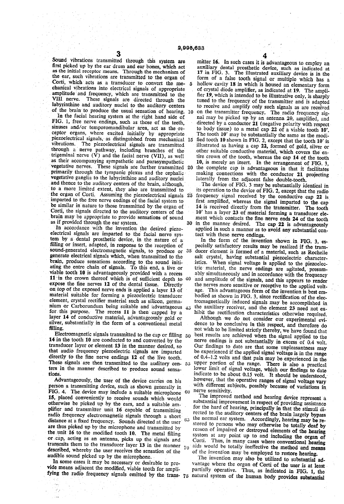Sound vibrations transmitted through this system are first picked up by the ear drum and ear bones, which act as the initial receptor means. Through the mechanism of the ear, such vibrations are transmitted to the organ of Corti, which acts as a transducer to convert the mechanical vibrations into electrical signals of appropriate amplitude and frequency, which are transmitted to the VIII nerve. These signals are directed through the labyrinthine and auditory nuclei to the auditory centers of the brain to produce the usual sensation of hearing.

In the facial hearing system at the right hand side of FIG. 1, free nerve endings, such as those of the teeth, sinuses and/or temporomandibular area, act as the receptor organs, where excited initially by appropriate piezoelectrical signals, as distinguished from mechanical<br>vibrations. The piezoelectrical signals are transmitted The piezoelectrical signals are transmitted through a nerve pathway, including branches of the trigeminal nerve  $(\hat{V})$  and the facial nerve (VII), as well<br>as their accompanying sympathetic and parasympathetic vegetative nerves. These signals are further transmitted 20 primarily through the tympanic plexus and the cephalic vegetative ganglia to the labyrinthine and auditory nuclei and thence to the auditory centers of the brain, although, to a more limited extent, they also are transmitted to the organ of Corti. Assuming the piezoelectrical signals imparted to the free nerve endings of the facial system to be similar in nature to those transmitted by the organ of Corti, the signals directed to the auditory centers of the brain may be appropriate to provide sensations of sound as if provided through the ear system.

In accordance with the invention the desired piezo electrical signals are imparted to the facial nerve sys tem by a dental prosthetic device, in the nature of a filling or insert, adapted, in response to the reception of sound-generated electromagnetic signals, to produce or generate electrical signals which, when transmitted to the brain, produce sensations according to the sound initiating the entre chain of signals. To this end, a live or viable tooth 10 is advantageously provided with a recess 11 in the crown thereof which is of sufficient depth to 40 expose the fine nerves 12 of the dental tissue. Directly on top of the exposed nerve ends is applied a layer 13 of material suitable for forming a piezoelectric transducer element, crystal rectifier material such as silicon, germanium or Carborundum being suitable and advantageous  $45$  for this purpose. The recess 11 is then capped by a layer 14 of conductive material, advantageously gold or silver, substantially in the form of a conventional metal filling.

Electromagnetic signals transmitted to the cap or filling 14 in the tooth 10 are conducted to and converted by the transducer layer or element 13 in the manner desired, so that audio frequency piezoelectric signals are imparted directly to the fine nerve endings 12 of the live tooth. These signals are then transmitted to the auditory cen- $55$ ters in the manner described to produce sound sensa tions.

Advantageously, the user of the device carries on his person a transmitting device, such as shown generally in 15. placed conveniently to receive sounds which would otherwise be picked up by the ears, and a suitable amplifier and transmitter unit 16 capable of transmitting FIG. 4. The device may include a suitable microphone 60 radio frequency electromagnetic signals through a short distance at a fixed frequency. Sounds directed at the user are thus picked up by the microphone and transmitted by the unit 16 to the modified tooth 10. The metal filling or cap, acting as an antenna, picks up the signals and transmits them to the transducer layer 13 in the manner  $70$ described, whereby the user receives the sensation of the audible sound picked up by the microphone.<br>In some cases it may be necessary or desirable to pro-

5 mitter 16. In such cases it is advantageous to employ an auxiliary dental prosthetic device, such as indicated at 17 in FIG. 3. The illustrated auxiliary device is in the form of a false tooth signal or multiple which has a hollow cavity 18 in which is housed an elementary form of crystal diode amplifier, as indicated at 19. The amplifier 19, which is intended to be illustrative only, is sharply tuned to the frequency of the transmitter and is adapted 10 on the transmitter frequency. The radio frequency sig-15 10, is merely an insert. In the arrangement of FIG. 3, 20 the complete cap is advantageous in that it facilitates to receive and amplify only such signals as are received nal may be picked up by an antenna 20, amplified, and directed by a conductor 21 (negative polarity with respect to body tissue) to a metal cap 22 of a viable tooth 10'. The tooth 10' may be substantially the same as the modified tooth 10 shown in FIG. 2, except that the tooth 10' is illustrated as having a cap 22, formed of gold, silver or other suitable conductive material, which covers the en tire crown of the tooth, whereas the cap  $14$  of the tooth  $10$ , is merely an insert. In the arrangement of FIG, 3, making connections with the conductor 21 projecting laterally from the adjacent false double-tooth.

25 frequency signal received by the conductive cap 22 is 30 in the manner desired. The cap 22 is advantageously The device of FIG. 3 may be substantially identical in its operation to the device of FIG. 2, except that the radio first amplified, whereas the signal imparted to the cap 14 is received directly from the transmitter. The tooth <sup>10</sup>' has a layer 23 of material forming a transducer ele ment which contacts the fine nerve ends 24 of the tooth applied in such a manner as to avoid any substantial contact with these nerve endings.<br>In the form of the invention shown in FIG. 3, es-

35 ducer element is formed of a material, such as Rochelle pecially satisfactory results may be realized if the transsalt crystal, having substantial piezoelectric characteristics. When signal voltage is applied to the piezoelectric material, the nerve endings are agitated, presumably simultaneously and in accordance with the frequency a the nerves more sensitive or receptive to the applied volt age. This advantageous form of the invention is best embodied as shown in FIG. 3, since rectification of the electromagnetically induced signals may be accomplished in the auxiliary receiver, and the element 23 need not exhibit the rectification characteristics otherwise required.

Although we do not consider our experimental evidence to be conclusive in this respect, and therefore do not wish to be limited strictly thereby, we have found that best results are achieved when the signal applied to the nerve endings is not substantially in excess of 0.4 volt.<br>Our findings to date are that some unpleasantness may be experienced if the applied signal voltage is in the range of 0.4-1.2 volts and that pain may be experienced in the upper portion of the range. There is also a practical lower limit of signal voltage, which our findings to date indicate to be about 0.15 volt. It should be understood, however, that the operative ranges of signal voltage vary with different subjects, possibly because of variations in

nerve sensitivity.<br>The improved method and hearing device represent a substantial improvement in respect of providing assistance for the hard of hearing, principally in that the stimuli directed to the auditory centers of the brain largely bypass the normal ear system. Accordingly, hearing may be restored to persons who may otherwise be totally deaf by reason of impaired or destroyed elements of the hearing system at any point up to and including the organ of Corti. Thus, in many cases where conventional hearing aids would be totally ineffective the method and means of the invention may be employed to restore hearing.

The invention may also be utilized to substantial advantage where the organ of Corti of the user is at least

In some cases it may be necessary or desirable to pro-<br>
vide means adjacent the modified, viable tooth for ampli-<br>
fying the radio frequency signals emitted by the trans- 75 natural system of the human body provides substa partially operative. Thus, as indicated in FIG. 1, the